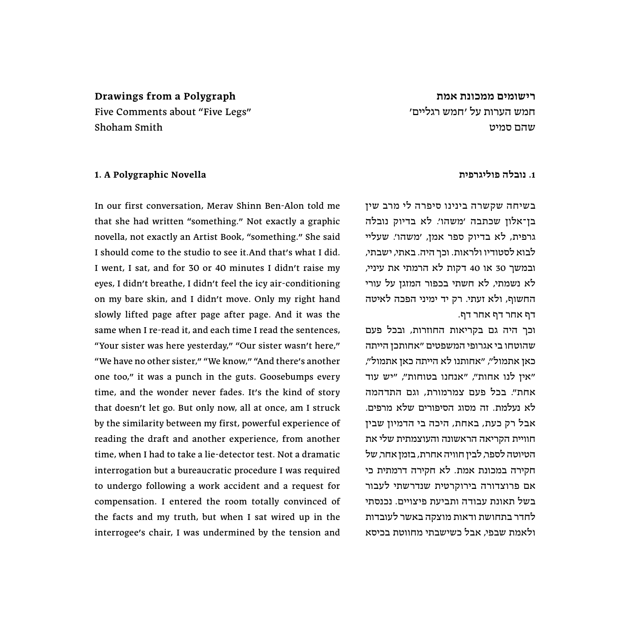# **רישומים ממכונת אמת** חמש הערות על ׳חמש רגליים׳ שהם סמיט

# **Drawings from a Polygraph**

Five Comments about "Five Legs״ Shoham Smith

## **1. A Polygraphic Novella**

In our first conversation, Merav Shinn Ben-Alon told me that she had written "something.״ Not exactly a graphic novella, not exactly an Artist Book, "something.״ She said I should come to the studio to see it.And that׳s what I did. I went, I sat, and for 30 or 40 minutes I didn׳t raise my eyes, I didn׳t breathe, I didn׳t feel the icy air-conditioning on my bare skin, and I didn׳t move. Only my right hand slowly lifted page after page after page. And it was the same when I re-read it, and each time I read the sentences, "Your sister was here yesterday,״" Our sister wasn׳t here,״ "We have no other sister,״" We know,״" And there׳s another one too,״ it was a punch in the guts. Goosebumps every time, and the wonder never fades. It׳s the kind of story that doesn׳t let go. But only now, all at once, am I struck by the similarity between my first, powerful experience of reading the draft and another experience, from another time, when I had to take a lie-detector test. Not a dramatic interrogation but a bureaucratic procedure I was required to undergo following a work accident and a request for compensation. I entered the room totally convinced of the facts and my truth, but when I sat wired up in the interrogee׳s chair, I was undermined by the tension and

## **.1 נובלה פוליגרפית**

בשיחה שקשרה בינינו סיפרה לי מרב שין בן־אלון שכתבה ׳משהו׳. לא בדיוק נובלה גרפית, לא בדיוק ספר אמן, ׳משהו׳. שעליי לבוא לסטודיו ולראות. וכך היה. באתי, ישבתי, ובמשך 30 או 40 דקות לא הרמתי את עיניי, לא נשמתי, לא חשתי בכפור המזגן על עורי החשוף, ולא זעתי. רק יד ימיני הפכה לאיטה דף אחר דף אחר דף.

וכך היה גם בקריאות החוזרות, ובכל פעם שהוטחו בי אגרופי המשפטים ״אחותכן הייתה כאן אתמול״, ״אחותנו לא הייתה כאן אתמול״, ״אין לנו אחות״, ״אנחנו בטוחות״, ״יש עוד אחת״. בכל פעם צמרמורת, וגם התדהמה לא נעלמת. זה מסוג הסיפורים שלא מרפים. אבל רק כעת, באחת, היכה בי הדמיון שבין חוויית הקריאה הראשונה והעוצמתית שלי את הטיוטה לספר, לבין חוויה אחרת, בזמן אחר, של חקירה במכונת אמת. לא חקירה דרמתית כי אם פרוצדורה בירוקרטית שנדרשתי לעבור בשל תאונת עבודה ותביעת פיצויים. נכנסתי לחדר בתחושת ודאות מוצקה באשר לעובדות ולאמת שבפי, אבל כשישבתי מחווטת בכיסא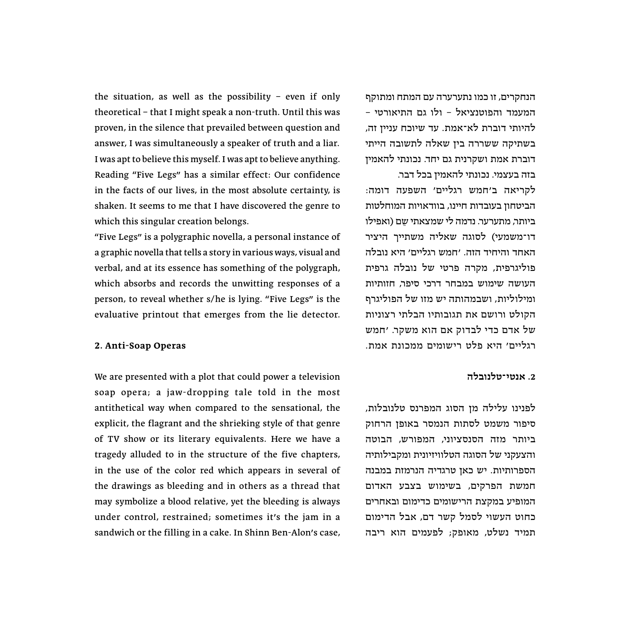the situation, as well as the possibility – even if only theoretical – that I might speak a non-truth. Until this was proven, in the silence that prevailed between question and answer, I was simultaneously a speaker of truth and a liar. I was apt to believe this myself. I was apt to believe anything. Reading "Five Legs״ has a similar effect: Our confidence in the facts of our lives, in the most absolute certainty, is shaken. It seems to me that I have discovered the genre to which this singular creation belongs.

"Five Legs״ is a polygraphic novella, a personal instance of a graphic novella that tells a story in various ways, visual and verbal, and at its essence has something of the polygraph, which absorbs and records the unwitting responses of a person, to reveal whether s/he is lying. "Five Legs״ is the evaluative printout that emerges from the lie detector.

## **2. Anti-Soap Operas**

We are presented with a plot that could power a television soap opera; a jaw-dropping tale told in the most antithetical way when compared to the sensational, the explicit, the flagrant and the shrieking style of that genre of TV show or its literary equivalents. Here we have a tragedy alluded to in the structure of the five chapters, in the use of the color red which appears in several of the drawings as bleeding and in others as a thread that may symbolize a blood relative, yet the bleeding is always under control, restrained; sometimes it׳s the jam in a sandwich or the filling in a cake. In Shinn Ben-Alon׳s case,

הנחקרים, זו כמו נתערערה עם המתח ומתוקף המעמד והפוטנציאל – ולו גם התיאורטי – להיותי דוברת לא־אמת. עד שיוכח עניין זה, בשתיקה ששררה בין שאלה לתשובה הייתי דוברת אמת ושקרנית גם יחד. נכונתי להאמין בזה בעצמי. נכונתי להאמין בכל דבר.

לקריאה ב׳חמש רגליים׳ השפעה דומה: הביטחון בעובדות חיינו, בוודאויות המוחלטות ביותר, מתערער. נדמה לי שמצאתי שם (ואפילו דו־משמעי( לסוגה שאליה משתייך היציר האחד והיחיד הזה. ׳חמש רגליים׳ היא נובלה פוליגרפית, מקרה פרטי של נובלה גרפית העושה שימוש במבחר דרכי סיפר, חזותיות ומילוליות, ושבמהותה יש מזו של הפוליגרף הקולט ורושם את תגובותיו הבלתי רצוניות של אדם כדי לבדוק אם הוא משקר. ׳חמש רגליים׳ היא פלט רישומים ממכונת אמת.

## **.2 אנטי־טלנובלה**

לפנינו עלילה מן הסוג המפרנס טלנובלות, סיפור משמט לסתות הנמסר באופן הרחוק ביותר מזה הסנסציוני, המפורש, הבוטה והצעקני של הסוגה הטלוויזיונית ומקבילותיה הספרותיות. יש כאן טרגדיה הנרמזת במבנה חמשת הפרקים, בשימוש בצבע האדום המופיע במקצת הרישומים כדימום ובאחרים כחוט העשוי לסמל קשר דם, אבל הדימום תמיד נשלט, מאופק; לפעמים הוא ריבה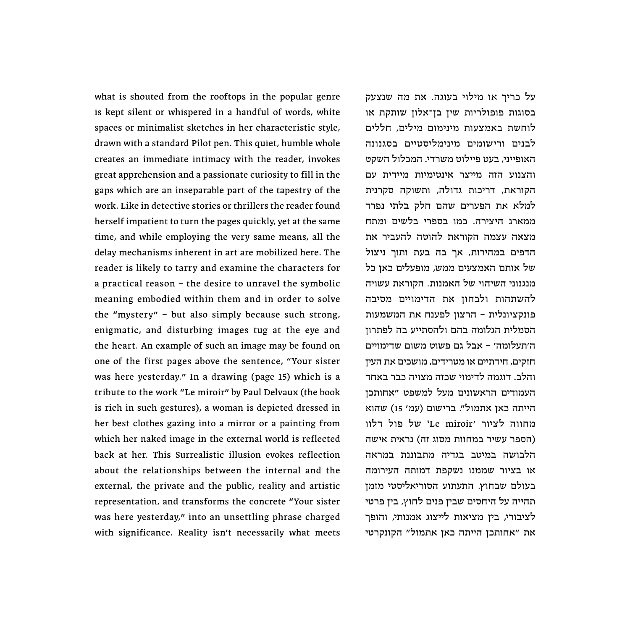what is shouted from the rooftops in the popular genre is kept silent or whispered in a handful of words, white spaces or minimalist sketches in her characteristic style, drawn with a standard Pilot pen. This quiet, humble whole creates an immediate intimacy with the reader, invokes great apprehension and a passionate curiosity to fill in the gaps which are an inseparable part of the tapestry of the work. Like in detective stories or thrillers the reader found herself impatient to turn the pages quickly, yet at the same time, and while employing the very same means, all the delay mechanisms inherent in art are mobilized here. The reader is likely to tarry and examine the characters for a practical reason – the desire to unravel the symbolic meaning embodied within them and in order to solve the "mystery״ – but also simply because such strong, enigmatic, and disturbing images tug at the eye and the heart. An example of such an image may be found on one of the first pages above the sentence, "Your sister was here yesterday.״ In a drawing (page 15) which is a tribute to the work "Le miroir״ by Paul Delvaux (the book is rich in such gestures), a woman is depicted dressed in her best clothes gazing into a mirror or a painting from which her naked image in the external world is reflected back at her. This Surrealistic illusion evokes reflection about the relationships between the internal and the external, the private and the public, reality and artistic representation, and transforms the concrete "Your sister was here yesterday,״ into an unsettling phrase charged with significance. Reality isn't necessarily what meets

על כריך או מילוי בעוגה. את מה שנצעק בסוגות פופולריות שין בן־אלון שותקת או לוחשת באמצעות מינימום מילים, חללים לבנים ורישומים מינימליסטיים בסגנונה האופייני, בעט פיילוט משרדי. המכלול השקט והצנוע הזה מייצר אינטימיות מיידית עם הקוראת, דריכות גדולה, ותשוקה סקרנית למלא את הפערים שהם חלק בלתי נפרד ממארג היצירה. כמו בספרי בלשים ומתח מצאה עצמה הקוראת להוטה להעביר את הדפים במהירות, אך בה בעת ותוך ניצול של אותם האמצעים ממש, מופעלים כאן כל מנגנוני השיהוי של האמנות. הקוראת עשויה להשתהות ולבחון את הדימויים מסיבה פונקציונלית – הרצון לפענח את המשמעות הסמלית הגלומה בהם ולהסתייע בה לפתרון ה׳תעלומה׳ – אבל גם פשוט משום שדימויים חזקים, חידתיים או מטרידים, מושכים את העין והלב. דוגמה לדימוי שכזה מצויה כבר באחד העמודים הראשונים מעל למשפט ״אחותכן הייתה כאן אתמול". ברישום (עמ׳ 15) שהוא מחווה לציור ׳miroir Le 'של פול דלוו )הספר עשיר במחוות מסוג זה( נראית אישה הלבושה במיטב בגדיה מתבוננת במראה או בציור שממנו נשקפת דמותה העירומה בעולם שבחוץ. התעתוע הסוריאליסטי מזמן תהייה על היחסים שבין פנים לחוץ, בין פרטי לציבורי, בין מציאות לייצוג אמנותי, והופך את ״אחותכן הייתה כאן אתמול״ הקונקרטי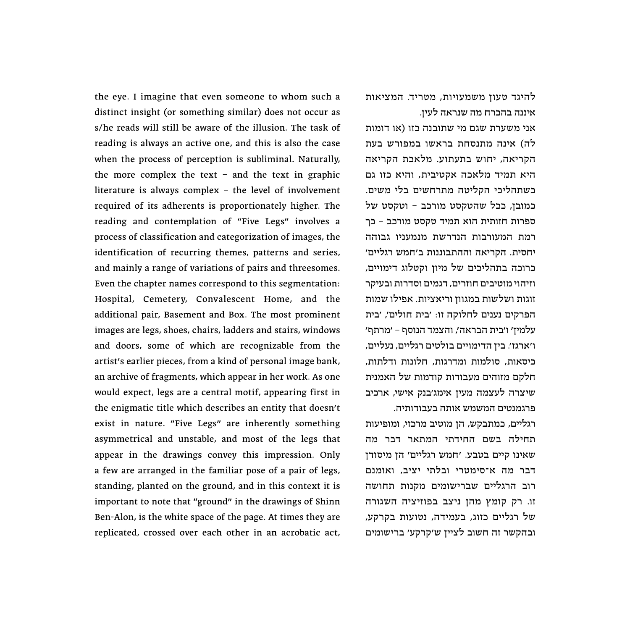the eye. I imagine that even someone to whom such a distinct insight (or something similar) does not occur as s/he reads will still be aware of the illusion. The task of reading is always an active one, and this is also the case when the process of perception is subliminal. Naturally, the more complex the text – and the text in graphic literature is always complex – the level of involvement required of its adherents is proportionately higher. The reading and contemplation of "Five Legs״ involves a process of classification and categorization of images, the identification of recurring themes, patterns and series, and mainly a range of variations of pairs and threesomes. Even the chapter names correspond to this segmentation: Hospital, Cemetery, Convalescent Home, and the additional pair, Basement and Box. The most prominent images are legs, shoes, chairs, ladders and stairs, windows and doors, some of which are recognizable from the artist׳s earlier pieces, from a kind of personal image bank, an archive of fragments, which appear in her work. As one would expect, legs are a central motif, appearing first in the enigmatic title which describes an entity that doesn׳t exist in nature. "Five Legs״ are inherently something asymmetrical and unstable, and most of the legs that appear in the drawings convey this impression. Only a few are arranged in the familiar pose of a pair of legs, standing, planted on the ground, and in this context it is important to note that "ground״ in the drawings of Shinn Ben-Alon, is the white space of the page. At times they are replicated, crossed over each other in an acrobatic act, להיגד טעון משמעויות, מטריד. המציאות איננה בהכרח מה שנראה לעין.

אני משערת שגם מי שתובנה כזו )או דומות לה) אינה מתנסחת בראשו במפורש בעת הקריאה, יחוש בתעתוע. מלאכת הקריאה היא תמיד מלאכה אקטיבית, והיא כזו גם כשתהליכי הקליטה מתרחשים בלי משים. כמובן, ככל שהטקסט מורכב – וטקסט של ספרות חזותית הוא תמיד טקסט מורכב – כך רמת המעורבות הנדרשת מנמעניו גבוהה יחסית. הקריאה וההתבוננות ב׳חמש רגליים׳ כרוכה בתהליכים של מיון וקטלוג דימויים, וזיהוי מוטיבים חוזרים, דגמים וסדרות ובעיקר זוגות ושלשות במגוון וריאציות. אפילו שמות הפרקים נענים לחלוקה זו: ׳בית חולים׳, ׳בית עלמין׳ ו׳בית הבראה׳, והצמד הנוסף – ׳מרתף׳ ו׳ארגז׳. בין הדימויים בולטים רגליים, נעליים, כיסאות, סולמות ומדרגות, חלונות ודלתות, חלקם מזוהים מעבודות קודמות של האמנית שיצרה לעצמה מעין אימג׳בנק אישי, ארכיב פרגמנטים המשמש אותה בעבודותיה.

רגליים, כמתבקש, הן מוטיב מרכזי, ומופיעות תחילה בשם החידתי המתאר דבר מה שאינו קיים בטבע. ׳חמש רגליים׳ הן מיסודן דבר מה א־סימטרי ובלתי יציב, ואומנם רוב הרגליים שברישומים מקנות תחושה זו. רק קומץ מהן ניצב בפוזיציה השגורה של רגליים כזוג, בעמידה, נטועות בקרקע, ובהקשר זה חשוב לציין ש׳קרקע׳ ברישומים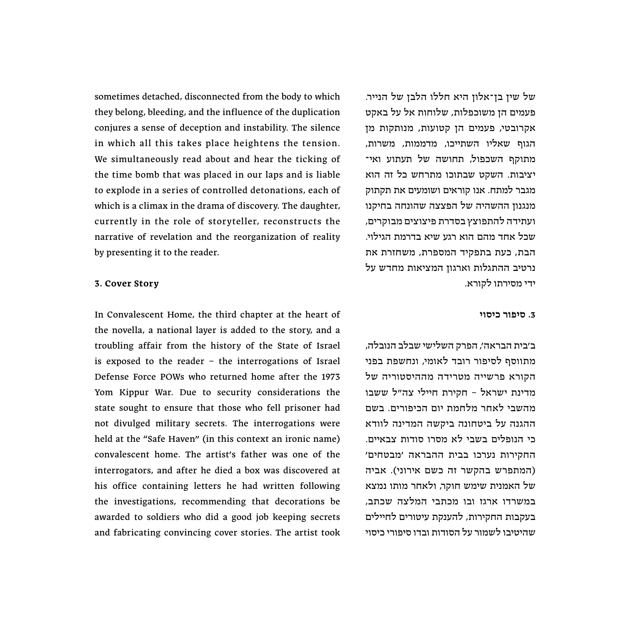sometimes detached, disconnected from the body to which they belong, bleeding, and the influence of the duplication conjures a sense of deception and instability. The silence in which all this takes place heightens the tension. We simultaneously read about and hear the ticking of the time bomb that was placed in our laps and is liable to explode in a series of controlled detonations, each of which is a climax in the drama of discovery. The daughter, currently in the role of storyteller, reconstructs the narrative of revelation and the reorganization of reality by presenting it to the reader.

#### **3. Cover Story**

In Convalescent Home, the third chapter at the heart of the novella, a national layer is added to the story, and a troubling affair from the history of the State of Israel is exposed to the reader – the interrogations of Israel Defense Force POWs who returned home after the 1973 Yom Kippur War. Due to security considerations the state sought to ensure that those who fell prisoner had not divulged military secrets. The interrogations were held at the "Safe Haven" (in this context an ironic name) convalescent home. The artist׳s father was one of the interrogators, and after he died a box was discovered at his office containing letters he had written following the investigations, recommending that decorations be awarded to soldiers who did a good job keeping secrets and fabricating convincing cover stories. The artist took

של שין בן־אלון היא חללו הלבן של הנייר. פעמים הן משוכפלות, שלוחות אל על באקט אקרובטי, פעמים הן קטועות, מנותקות מן הגוף שאליו השתייכו, מדממות, משרות, מתוקף השכפול, תחושה של תעתוע ואי־ יציבות. השקט שבתוכו מתרחש כל זה הוא מגבר למתח. אנו קוראים ושומעים את תקתוק מנגנון ההשהיה של הפצצה שהונחה בחיקנו ועתידה להתפוצץ בסדרת פיצוצים מבוקרים, שכל אחד מהם הוא רגע שיא בדרמת הגילוי. הבת, כעת בתפקיד המספרת, משחזרת את נרטיב ההתגלות וארגון המציאות מחדש על ידי מסירתו לקורא.

#### **.3 סיפור כיסוי**

ב׳בית הבראה׳, הפרק השלישי שבלב הנובלה, מתווסף לסיפור רובד לאומי, ונחשפת בפני הקורא פרשייה מטרידה מההיסטוריה של מדינת ישראל – חקירת חיילי צה״ל ששבו מהשבי לאחר מלחמת יום הכיפורים. בשם ההגנה על ביטחונה ביקשה המדינה לוודא כי הנופלים בשבי לא מסרו סודות צבאיים. החקירות נערכו בבית ההבראה ׳מבטחים׳ )המתפרש בהקשר זה כשם אירוני(. אביה של האמנית שימש חוקר, ולאחר מותו נמצא במשרדו ארגז ובו מכתבי המלצה שכתב, בעקבות החקירות, להענקת עיטורים לחיילים שהיטיבו לשמור על הסודות ובדו סיפורי כיסוי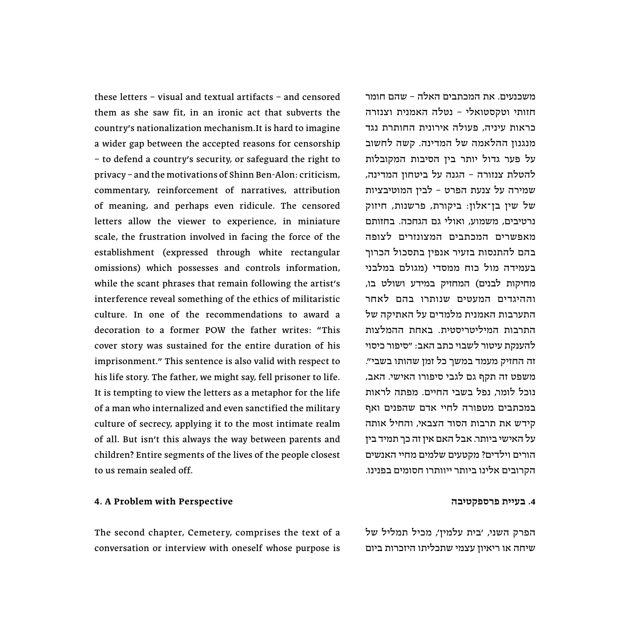these letters – visual and textual artifacts – and censored them as she saw fit, in an ironic act that subverts the country׳s nationalization mechanism.It is hard to imagine a wider gap between the accepted reasons for censorship – to defend a country׳s security, or safeguard the right to privacy – and the motivations of Shinn Ben-Alon: criticism, commentary, reinforcement of narratives, attribution of meaning, and perhaps even ridicule. The censored letters allow the viewer to experience, in miniature scale, the frustration involved in facing the force of the establishment (expressed through white rectangular omissions) which possesses and controls information, while the scant phrases that remain following the artist's interference reveal something of the ethics of militaristic culture. In one of the recommendations to award a decoration to a former POW the father writes: "This cover story was sustained for the entire duration of his imprisonment.״ This sentence is also valid with respect to his life story. The father, we might say, fell prisoner to life. It is tempting to view the letters as a metaphor for the life of a man who internalized and even sanctified the military culture of secrecy, applying it to the most intimate realm of all. But isn׳t this always the way between parents and children? Entire segments of the lives of the people closest to us remain sealed off.

## **4. A Problem with Perspective**

The second chapter, Cemetery, comprises the text of a conversation or interview with oneself whose purpose is משכנעים. את המכתבים האלה – שהם חומר חזותי וטקסטואלי – נטלה האמנית וצנזרה כראות עיניה, פעולה אירונית החותרת נגד מנגנון ההלאמה של המדינה. קשה לחשוב על פער גדול יותר בין הסיבות המקובלות להטלת צנזורה – הגנה על ביטחון המדינה, שמירה על צנעת הפרט – לבין המוטיבציות של שין בן־אלון: ביקורת, פרשנות, חיזוק נרטיבים, משמוע, ואולי גם הגחכה. בחזותם מאפשרים המכתבים המצונזרים לצופה בהם להתנסות בזעיר אנפין בתסכול הכרוך בעמידה מול כוח ממסדי (מגולם במלבני מחיקות לבנים) המחזיק במידע ושולט בו, וההיגדים המעטים שנותרו בהם לאחר התערבות האמנית מלמדים על האתיקה של התרבות המיליטריסטית. באחת ההמלצות להענקת עיטור לשבוי כתב האב: ״סיפור כיסוי זה החזיק מעמד במשך כל זמן שהותו בשבי״. משפט זה תקף גם לגבי סיפורו האישי. האב, נוכל לומר, נפל בשבי החיים. מפתה לראות במכתבים מטפורה לחיי אדם שהפנים ואף קידש את תרבות הסוד הצבאי, והחיל אותה על האישי ביותר. אבל האם אין זה כך תמיד בין הורים וילדים? מקטעים שלמים מחיי האנשים הקרובים אלינו ביותר ייוותרו חסומים בפנינו.

#### **.4 בעיית פרספקטיבה**

הפרק השני, ׳בית עלמין׳, מכיל תמליל של שיחה או ריאיון עצמי שתכליתו היזכרות ביום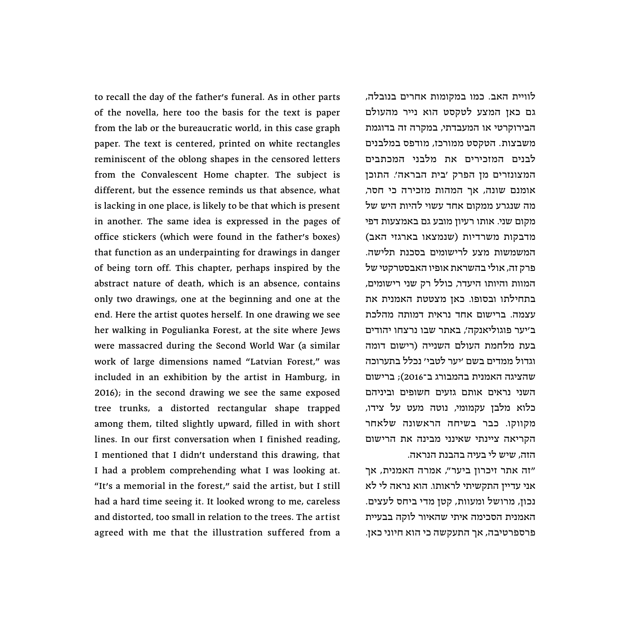to recall the day of the father׳s funeral. As in other parts of the novella, here too the basis for the text is paper from the lab or the bureaucratic world, in this case graph paper. The text is centered, printed on white rectangles reminiscent of the oblong shapes in the censored letters from the Convalescent Home chapter. The subject is different, but the essence reminds us that absence, what is lacking in one place, is likely to be that which is present in another. The same idea is expressed in the pages of office stickers (which were found in the father׳s boxes) that function as an underpainting for drawings in danger of being torn off. This chapter, perhaps inspired by the abstract nature of death, which is an absence, contains only two drawings, one at the beginning and one at the end. Here the artist quotes herself. In one drawing we see her walking in Pogulianka Forest, at the site where Jews were massacred during the Second World War (a similar work of large dimensions named "Latvian Forest," was included in an exhibition by the artist in Hamburg, in 2016); in the second drawing we see the same exposed tree trunks, a distorted rectangular shape trapped among them, tilted slightly upward, filled in with short lines. In our first conversation when I finished reading, I mentioned that I didn׳t understand this drawing, that I had a problem comprehending what I was looking at. "It׳s a memorial in the forest,״ said the artist, but I still had a hard time seeing it. It looked wrong to me, careless and distorted, too small in relation to the trees. The artist agreed with me that the illustration suffered from a

לוויית האב. כמו במקומות אחרים בנובלה, גם כאן המצע לטקסט הוא נייר מהעולם הבירוקרטי או המעבדתי, במקרה זה בדוגמת משבצות. הטקסט ממורכז, מודפס במלבנים לבנים המזכירים את מלבני המכתבים המצונזרים מן הפרק ׳בית הבראה׳. התוכן אומנם שונה, אך המהות מזכירה כי חסר, מה שנגרע ממקום אחד עשוי להיות היש של מקום שני. אותו רעיון מובע גם באמצעות דפי מדבקות משרדיות )שנמצאו בארגזי האב( המשמשות מצע לרישומים בסכנת תלישה. פרק זה, אולי בהשראת אופיו האבסטרקטי של המוות והיותו היעדר, כולל רק שני רישומים, בתחילתו ובסופו. כאן מצטטת האמנית את עצמה. ברישום אחד נראית דמותה מהלכת ב׳יער פוגוליאנקה׳, באתר שבו נרצחו יהודים בעת מלחמת העולם השנייה )רישום דומה וגדול ממדים בשם ׳יער לטבי׳ נכלל בתערוכה שהציגה האמנית בהמבורג ב־2016(; ברישום השני נראים אותם גזעים חשופים וביניהם כלוא מלבן עקמומי, נוטה מעט על צידו, מקווקו. כבר בשיחה הראשונה שלאחר הקריאה ציינתי שאינני מבינה את הרישום הזה, שיש לי בעיה בהבנת הנראה.

״זה אתר זיכרון ביער״, אמרה האמנית, אך אני עדיין התקשיתי לראותו. הוא נראה לי לא נכון, מרושל ומעוות, קטן מדי ביחס לעצים. האמנית הסכימה איתי שהאיור לוקה בבעיית פרספרטיבה, אך התעקשה כי הוא חיוני כאן.